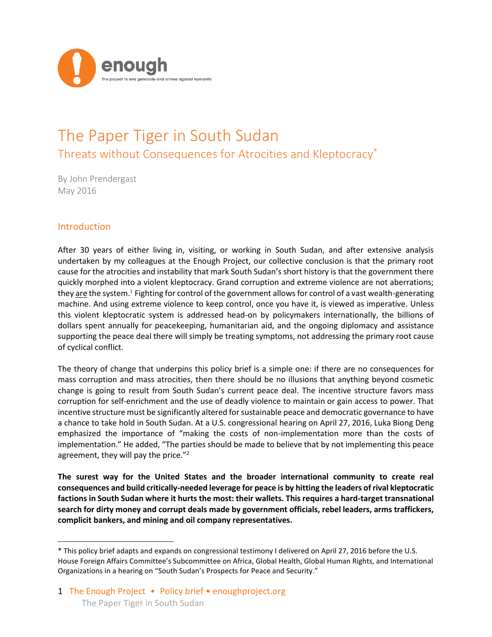

# The Paper Tiger in South Sudan Threats without Consequences for Atrocities and Kleptocracy\*

By John Prendergast May 2016

## Introduction

 $\overline{a}$ 

After 30 years of either living in, visiting, or working in South Sudan, and after extensive analysis undertaken by my colleagues at the Enough Project, our collective conclusion is that the primary root cause for the atrocities and instability that mark South Sudan's short history is that the government there quickly morphed into a violent kleptocracy. Grand corruption and extreme violence are not aberrations; they are the system.<sup>1</sup> Fighting for control of the government allows for control of a vast wealth-generating machine. And using extreme violence to keep control, once you have it, is viewed as imperative. Unless this violent kleptocratic system is addressed head-on by policymakers internationally, the billions of dollars spent annually for peacekeeping, humanitarian aid, and the ongoing diplomacy and assistance supporting the peace deal there will simply be treating symptoms, not addressing the primary root cause of cyclical conflict.

The theory of change that underpins this policy brief is a simple one: if there are no consequences for mass corruption and mass atrocities, then there should be no illusions that anything beyond cosmetic change is going to result from South Sudan's current peace deal. The incentive structure favors mass corruption for self-enrichment and the use of deadly violence to maintain or gain access to power. That incentive structure must be significantly altered for sustainable peace and democratic governance to have a chance to take hold in South Sudan. At a U.S. congressional hearing on April 27, 2016, Luka Biong Deng emphasized the importance of "making the costs of non-implementation more than the costs of implementation." He added, "The parties should be made to believe that by not implementing this peace agreement, they will pay the price."<sup>2</sup>

**The surest way for the United States and the broader international community to create real consequences and build critically-needed leverage for peace is by hitting the leaders of rival kleptocratic factions in South Sudan where it hurts the most: their wallets. This requires a hard-target transnational search for dirty money and corrupt deals made by government officials, rebel leaders, arms traffickers, complicit bankers, and mining and oil company representatives.**

<sup>\*</sup> This policy brief adapts and expands on congressional testimony I delivered on April 27, 2016 before the U.S. House Foreign Affairs Committee's Subcommittee on Africa, Global Health, Global Human Rights, and International Organizations in a hearing on "South Sudan's Prospects for Peace and Security."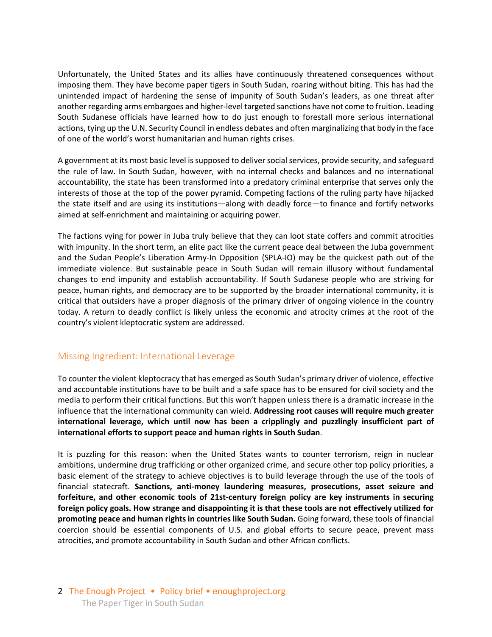Unfortunately, the United States and its allies have continuously threatened consequences without imposing them. They have become paper tigers in South Sudan, roaring without biting. This has had the unintended impact of hardening the sense of impunity of South Sudan's leaders, as one threat after another regarding arms embargoes and higher-level targeted sanctions have not come to fruition. Leading South Sudanese officials have learned how to do just enough to forestall more serious international actions, tying up the U.N. Security Council in endless debates and often marginalizing that body in the face of one of the world's worst humanitarian and human rights crises.

A government at its most basic level is supposed to deliver social services, provide security, and safeguard the rule of law. In South Sudan, however, with no internal checks and balances and no international accountability, the state has been transformed into a predatory criminal enterprise that serves only the interests of those at the top of the power pyramid. Competing factions of the ruling party have hijacked the state itself and are using its institutions—along with deadly force—to finance and fortify networks aimed at self-enrichment and maintaining or acquiring power.

The factions vying for power in Juba truly believe that they can loot state coffers and commit atrocities with impunity. In the short term, an elite pact like the current peace deal between the Juba government and the Sudan People's Liberation Army-In Opposition (SPLA-IO) may be the quickest path out of the immediate violence. But sustainable peace in South Sudan will remain illusory without fundamental changes to end impunity and establish accountability. If South Sudanese people who are striving for peace, human rights, and democracy are to be supported by the broader international community, it is critical that outsiders have a proper diagnosis of the primary driver of ongoing violence in the country today. A return to deadly conflict is likely unless the economic and atrocity crimes at the root of the country's violent kleptocratic system are addressed.

### Missing Ingredient: International Leverage

To counter the violent kleptocracy that has emerged as South Sudan's primary driver of violence, effective and accountable institutions have to be built and a safe space has to be ensured for civil society and the media to perform their critical functions. But this won't happen unless there is a dramatic increase in the influence that the international community can wield. **Addressing root causes will require much greater international leverage, which until now has been a cripplingly and puzzlingly insufficient part of international efforts to support peace and human rights in South Sudan**.

It is puzzling for this reason: when the United States wants to counter terrorism, reign in nuclear ambitions, undermine drug trafficking or other organized crime, and secure other top policy priorities, a basic element of the strategy to achieve objectives is to build leverage through the use of the tools of financial statecraft. **Sanctions, anti-money laundering measures, prosecutions, asset seizure and forfeiture, and other economic tools of 21st-century foreign policy are key instruments in securing foreign policy goals. How strange and disappointing it is that these tools are not effectively utilized for promoting peace and human rights in countries like South Sudan.** Going forward, these tools of financial coercion should be essential components of U.S. and global efforts to secure peace, prevent mass atrocities, and promote accountability in South Sudan and other African conflicts.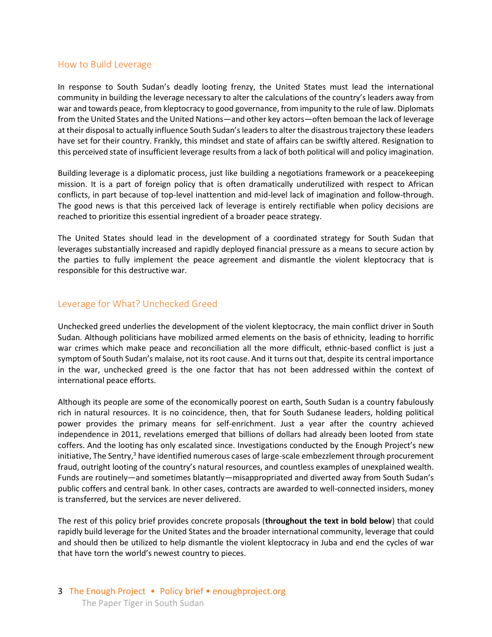### How to Build Leverage

In response to South Sudan's deadly looting frenzy, the United States must lead the international community in building the leverage necessary to alter the calculations of the country's leaders away from war and towards peace, from kleptocracy to good governance, from impunity to the rule of law. Diplomats from the United States and the United Nations—and other key actors—often bemoan the lack of leverage at their disposal to actually influence South Sudan's leaders to alter the disastrous trajectory these leaders have set for their country. Frankly, this mindset and state of affairs can be swiftly altered. Resignation to this perceived state of insufficient leverage results from a lack of both political will and policy imagination.

Building leverage is a diplomatic process, just like building a negotiations framework or a peacekeeping mission. It is a part of foreign policy that is often dramatically underutilized with respect to African conflicts, in part because of top-level inattention and mid-level lack of imagination and follow-through. The good news is that this perceived lack of leverage is entirely rectifiable when policy decisions are reached to prioritize this essential ingredient of a broader peace strategy.

The United States should lead in the development of a coordinated strategy for South Sudan that leverages substantially increased and rapidly deployed financial pressure as a means to secure action by the parties to fully implement the peace agreement and dismantle the violent kleptocracy that is responsible for this destructive war.

## Leverage for What? Unchecked Greed

Unchecked greed underlies the development of the violent kleptocracy, the main conflict driver in South Sudan. Although politicians have mobilized armed elements on the basis of ethnicity, leading to horrific war crimes which make peace and reconciliation all the more difficult, ethnic-based conflict is just a symptom of South Sudan's malaise, not its root cause. And it turns out that, despite its central importance in the war, unchecked greed is the one factor that has not been addressed within the context of international peace efforts.

Although its people are some of the economically poorest on earth, South Sudan is a country fabulously rich in natural resources. It is no coincidence, then, that for South Sudanese leaders, holding political power provides the primary means for self-enrichment. Just a year after the country achieved independence in 2011, revelations emerged that billions of dollars had already been looted from state coffers. And the looting has only escalated since. Investigations conducted by the Enough Project's new initiative, The Sentry, $3$  have identified numerous cases of large-scale embezzlement through procurement fraud, outright looting of the country's natural resources, and countless examples of unexplained wealth. Funds are routinely—and sometimes blatantly—misappropriated and diverted away from South Sudan's public coffers and central bank. In other cases, contracts are awarded to well-connected insiders, money is transferred, but the services are never delivered.

The rest of this policy brief provides concrete proposals (**throughout the text in bold below**) that could rapidly build leverage for the United States and the broader international community, leverage that could and should then be utilized to help dismantle the violent kleptocracy in Juba and end the cycles of war that have torn the world's newest country to pieces.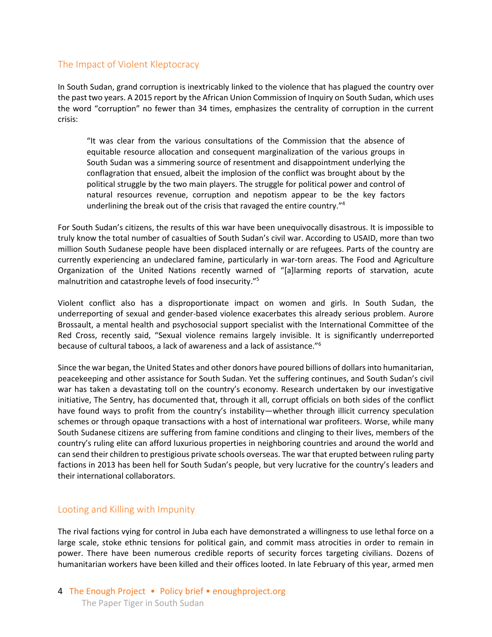## The Impact of Violent Kleptocracy

In South Sudan, grand corruption is inextricably linked to the violence that has plagued the country over the past two years. A 2015 report by the African Union Commission of Inquiry on South Sudan, which uses the word "corruption" no fewer than 34 times, emphasizes the centrality of corruption in the current crisis:

"It was clear from the various consultations of the Commission that the absence of equitable resource allocation and consequent marginalization of the various groups in South Sudan was a simmering source of resentment and disappointment underlying the conflagration that ensued, albeit the implosion of the conflict was brought about by the political struggle by the two main players. The struggle for political power and control of natural resources revenue, corruption and nepotism appear to be the key factors underlining the break out of the crisis that ravaged the entire country."<sup>4</sup>

For South Sudan's citizens, the results of this war have been unequivocally disastrous. It is impossible to truly know the total number of casualties of South Sudan's civil war. According to USAID, more than two million South Sudanese people have been displaced internally or are refugees. Parts of the country are currently experiencing an undeclared famine, particularly in war-torn areas. The Food and Agriculture Organization of the United Nations recently warned of "[a]larming reports of starvation, acute malnutrition and catastrophe levels of food insecurity."<sup>5</sup>

Violent conflict also has a disproportionate impact on women and girls. In South Sudan, the underreporting of sexual and gender-based violence exacerbates this already serious problem. Aurore Brossault, a mental health and psychosocial support specialist with the International Committee of the Red Cross, recently said, "Sexual violence remains largely invisible. It is significantly underreported because of cultural taboos, a lack of awareness and a lack of assistance."<sup>6</sup>

Since the war began, the United States and other donors have poured billions of dollars into humanitarian, peacekeeping and other assistance for South Sudan. Yet the suffering continues, and South Sudan's civil war has taken a devastating toll on the country's economy. Research undertaken by our investigative initiative, The Sentry, has documented that, through it all, corrupt officials on both sides of the conflict have found ways to profit from the country's instability—whether through illicit currency speculation schemes or through opaque transactions with a host of international war profiteers. Worse, while many South Sudanese citizens are suffering from famine conditions and clinging to their lives, members of the country's ruling elite can afford luxurious properties in neighboring countries and around the world and can send their children to prestigious private schools overseas. The war that erupted between ruling party factions in 2013 has been hell for South Sudan's people, but very lucrative for the country's leaders and their international collaborators.

### Looting and Killing with Impunity

The rival factions vying for control in Juba each have demonstrated a willingness to use lethal force on a large scale, stoke ethnic tensions for political gain, and commit mass atrocities in order to remain in power. There have been numerous credible reports of security forces targeting civilians. Dozens of humanitarian workers have been killed and their offices looted. In late February of this year, armed men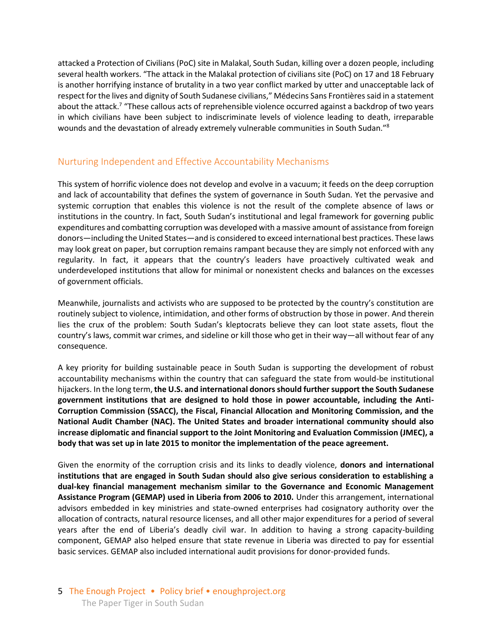attacked a Protection of Civilians (PoC) site in Malakal, South Sudan, killing over a dozen people, including several health workers. "The attack in the Malakal protection of civilians site (PoC) on 17 and 18 February is another horrifying instance of brutality in a two year conflict marked by utter and unacceptable lack of respect for the lives and dignity of South Sudanese civilians," Médecins Sans Frontières said in a statement about the attack.<sup>7</sup> "These callous acts of reprehensible violence occurred against a backdrop of two years in which civilians have been subject to indiscriminate levels of violence leading to death, irreparable wounds and the devastation of already extremely vulnerable communities in South Sudan."<sup>8</sup>

### Nurturing Independent and Effective Accountability Mechanisms

This system of horrific violence does not develop and evolve in a vacuum; it feeds on the deep corruption and lack of accountability that defines the system of governance in South Sudan. Yet the pervasive and systemic corruption that enables this violence is not the result of the complete absence of laws or institutions in the country. In fact, South Sudan's institutional and legal framework for governing public expenditures and combatting corruption was developed with a massive amount of assistance from foreign donors—including the United States—and is considered to exceed international best practices. These laws may look great on paper, but corruption remains rampant because they are simply not enforced with any regularity. In fact, it appears that the country's leaders have proactively cultivated weak and underdeveloped institutions that allow for minimal or nonexistent checks and balances on the excesses of government officials.

Meanwhile, journalists and activists who are supposed to be protected by the country's constitution are routinely subject to violence, intimidation, and other forms of obstruction by those in power. And therein lies the crux of the problem: South Sudan's kleptocrats believe they can loot state assets, flout the country's laws, commit war crimes, and sideline or kill those who get in their way—all without fear of any consequence.

A key priority for building sustainable peace in South Sudan is supporting the development of robust accountability mechanisms within the country that can safeguard the state from would-be institutional hijackers. In the long term, **the U.S. and international donors should further support the South Sudanese government institutions that are designed to hold those in power accountable, including the Anti-Corruption Commission (SSACC), the Fiscal, Financial Allocation and Monitoring Commission, and the National Audit Chamber (NAC). The United States and broader international community should also increase diplomatic and financial support to the Joint Monitoring and Evaluation Commission (JMEC), a body that was set up in late 2015 to monitor the implementation of the peace agreement.**

Given the enormity of the corruption crisis and its links to deadly violence, **donors and international institutions that are engaged in South Sudan should also give serious consideration to establishing a dual-key financial management mechanism similar to the Governance and Economic Management Assistance Program (GEMAP) used in Liberia from 2006 to 2010.** Under this arrangement, international advisors embedded in key ministries and state-owned enterprises had cosignatory authority over the allocation of contracts, natural resource licenses, and all other major expenditures for a period of several years after the end of Liberia's deadly civil war. In addition to having a strong capacity-building component, GEMAP also helped ensure that state revenue in Liberia was directed to pay for essential basic services. GEMAP also included international audit provisions for donor-provided funds.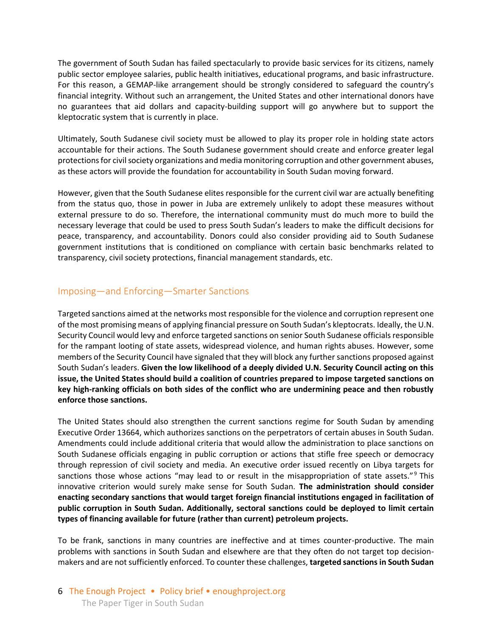The government of South Sudan has failed spectacularly to provide basic services for its citizens, namely public sector employee salaries, public health initiatives, educational programs, and basic infrastructure. For this reason, a GEMAP-like arrangement should be strongly considered to safeguard the country's financial integrity. Without such an arrangement, the United States and other international donors have no guarantees that aid dollars and capacity-building support will go anywhere but to support the kleptocratic system that is currently in place.

Ultimately, South Sudanese civil society must be allowed to play its proper role in holding state actors accountable for their actions. The South Sudanese government should create and enforce greater legal protections for civil society organizations and media monitoring corruption and other government abuses, as these actors will provide the foundation for accountability in South Sudan moving forward.

However, given that the South Sudanese elites responsible for the current civil war are actually benefiting from the status quo, those in power in Juba are extremely unlikely to adopt these measures without external pressure to do so. Therefore, the international community must do much more to build the necessary leverage that could be used to press South Sudan's leaders to make the difficult decisions for peace, transparency, and accountability. Donors could also consider providing aid to South Sudanese government institutions that is conditioned on compliance with certain basic benchmarks related to transparency, civil society protections, financial management standards, etc.

## Imposing—and Enforcing—Smarter Sanctions

Targeted sanctions aimed at the networks most responsible for the violence and corruption represent one of the most promising means of applying financial pressure on South Sudan's kleptocrats. Ideally, the U.N. Security Council would levy and enforce targeted sanctions on senior South Sudanese officials responsible for the rampant looting of state assets, widespread violence, and human rights abuses. However, some members of the Security Council have signaled that they will block any further sanctions proposed against South Sudan's leaders. **Given the low likelihood of a deeply divided U.N. Security Council acting on this issue, the United States should build a coalition of countries prepared to impose targeted sanctions on key high-ranking officials on both sides of the conflict who are undermining peace and then robustly enforce those sanctions.**

The United States should also strengthen the current sanctions regime for South Sudan by amending Executive Order 13664, which authorizes sanctions on the perpetrators of certain abuses in South Sudan. Amendments could include additional criteria that would allow the administration to place sanctions on South Sudanese officials engaging in public corruption or actions that stifle free speech or democracy through repression of civil society and media. An executive order issued recently on Libya targets for sanctions those whose actions "may lead to or result in the misappropriation of state assets."<sup>9</sup> This innovative criterion would surely make sense for South Sudan. **The administration should consider enacting secondary sanctions that would target foreign financial institutions engaged in facilitation of public corruption in South Sudan. Additionally, sectoral sanctions could be deployed to limit certain types of financing available for future (rather than current) petroleum projects.**

To be frank, sanctions in many countries are ineffective and at times counter-productive. The main problems with sanctions in South Sudan and elsewhere are that they often do not target top decisionmakers and are not sufficiently enforced. To counter these challenges, **targeted sanctions in South Sudan** 

6 The Enough Project • Policy brief • enoughproject.org The Paper Tiger in South Sudan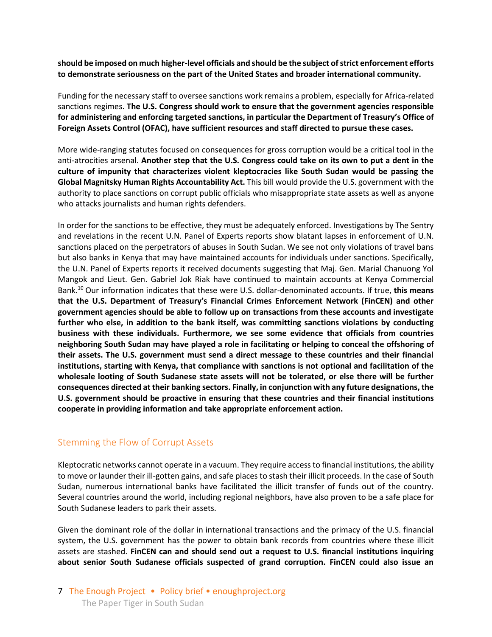**should be imposed on much higher-level officials and should be the subject of strict enforcement efforts to demonstrate seriousness on the part of the United States and broader international community.**

Funding for the necessary staff to oversee sanctions work remains a problem, especially for Africa-related sanctions regimes. **The U.S. Congress should work to ensure that the government agencies responsible for administering and enforcing targeted sanctions, in particular the Department of Treasury's Office of Foreign Assets Control (OFAC), have sufficient resources and staff directed to pursue these cases.**

More wide-ranging statutes focused on consequences for gross corruption would be a critical tool in the anti-atrocities arsenal. **Another step that the U.S. Congress could take on its own to put a dent in the culture of impunity that characterizes violent kleptocracies like South Sudan would be passing the Global Magnitsky Human Rights Accountability Act.** This bill would provide the U.S. government with the authority to place sanctions on corrupt public officials who misappropriate state assets as well as anyone who attacks journalists and human rights defenders.

In order for the sanctions to be effective, they must be adequately enforced. Investigations by The Sentry and revelations in the recent U.N. Panel of Experts reports show blatant lapses in enforcement of U.N. sanctions placed on the perpetrators of abuses in South Sudan. We see not only violations of travel bans but also banks in Kenya that may have maintained accounts for individuals under sanctions. Specifically, the U.N. Panel of Experts reports it received documents suggesting that Maj. Gen. Marial Chanuong Yol Mangok and Lieut. Gen. Gabriel Jok Riak have continued to maintain accounts at Kenya Commercial Bank.<sup>10</sup> Our information indicates that these were U.S. dollar-denominated accounts. If true, **this means that the U.S. Department of Treasury's Financial Crimes Enforcement Network (FinCEN) and other government agencies should be able to follow up on transactions from these accounts and investigate further who else, in addition to the bank itself, was committing sanctions violations by conducting business with these individuals. Furthermore, we see some evidence that officials from countries neighboring South Sudan may have played a role in facilitating or helping to conceal the offshoring of their assets. The U.S. government must send a direct message to these countries and their financial institutions, starting with Kenya, that compliance with sanctions is not optional and facilitation of the wholesale looting of South Sudanese state assets will not be tolerated, or else there will be further consequences directed at their banking sectors. Finally, in conjunction with any future designations, the U.S. government should be proactive in ensuring that these countries and their financial institutions cooperate in providing information and take appropriate enforcement action.**

### Stemming the Flow of Corrupt Assets

Kleptocratic networks cannot operate in a vacuum. They require access to financial institutions, the ability to move or launder their ill-gotten gains, and safe places to stash their illicit proceeds. In the case of South Sudan, numerous international banks have facilitated the illicit transfer of funds out of the country. Several countries around the world, including regional neighbors, have also proven to be a safe place for South Sudanese leaders to park their assets.

Given the dominant role of the dollar in international transactions and the primacy of the U.S. financial system, the U.S. government has the power to obtain bank records from countries where these illicit assets are stashed. **FinCEN can and should send out a request to U.S. financial institutions inquiring about senior South Sudanese officials suspected of grand corruption. FinCEN could also issue an**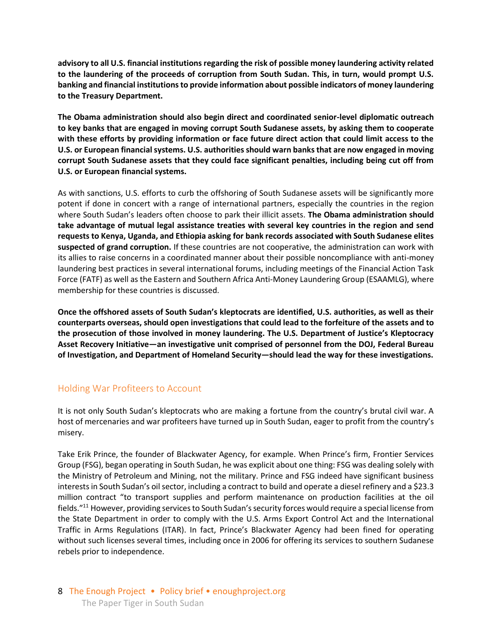**advisory to all U.S. financial institutions regarding the risk of possible money laundering activity related to the laundering of the proceeds of corruption from South Sudan. This, in turn, would prompt U.S. banking and financial institutions to provide information about possible indicators of money laundering to the Treasury Department.**

**The Obama administration should also begin direct and coordinated senior-level diplomatic outreach to key banks that are engaged in moving corrupt South Sudanese assets, by asking them to cooperate with these efforts by providing information or face future direct action that could limit access to the U.S. or European financial systems. U.S. authorities should warn banks that are now engaged in moving corrupt South Sudanese assets that they could face significant penalties, including being cut off from U.S. or European financial systems.**

As with sanctions, U.S. efforts to curb the offshoring of South Sudanese assets will be significantly more potent if done in concert with a range of international partners, especially the countries in the region where South Sudan's leaders often choose to park their illicit assets. **The Obama administration should take advantage of mutual legal assistance treaties with several key countries in the region and send requests to Kenya, Uganda, and Ethiopia asking for bank records associated with South Sudanese elites suspected of grand corruption.** If these countries are not cooperative, the administration can work with its allies to raise concerns in a coordinated manner about their possible noncompliance with anti-money laundering best practices in several international forums, including meetings of the Financial Action Task Force (FATF) as well as the Eastern and Southern Africa Anti-Money Laundering Group (ESAAMLG), where membership for these countries is discussed.

**Once the offshored assets of South Sudan's kleptocrats are identified, U.S. authorities, as well as their counterparts overseas, should open investigations that could lead to the forfeiture of the assets and to the prosecution of those involved in money laundering. The U.S. Department of Justice's Kleptocracy Asset Recovery Initiative—an investigative unit comprised of personnel from the DOJ, Federal Bureau of Investigation, and Department of Homeland Security—should lead the way for these investigations.** 

### Holding War Profiteers to Account

It is not only South Sudan's kleptocrats who are making a fortune from the country's brutal civil war. A host of mercenaries and war profiteers have turned up in South Sudan, eager to profit from the country's misery.

Take Erik Prince, the founder of Blackwater Agency, for example. When Prince's firm, Frontier Services Group (FSG), began operating in South Sudan, he was explicit about one thing: FSG was dealing solely with the Ministry of Petroleum and Mining, not the military. Prince and FSG indeed have significant business interests in South Sudan's oil sector, including a contract to build and operate a diesel refinery and a \$23.3 million contract "to transport supplies and perform maintenance on production facilities at the oil fields."<sup>11</sup> However, providing services to South Sudan's security forces would require a special license from the State Department in order to comply with the U.S. Arms Export Control Act and the International Traffic in Arms Regulations (ITAR). In fact, Prince's Blackwater Agency had been fined for operating without such licenses several times, including once in 2006 for offering its services to southern Sudanese rebels prior to independence.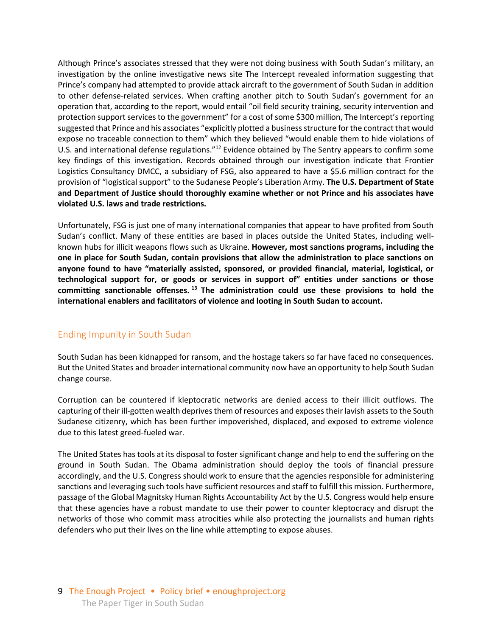Although Prince's associates stressed that they were not doing business with South Sudan's military, an investigation by the online investigative news site The Intercept revealed information suggesting that Prince's company had attempted to provide attack aircraft to the government of South Sudan in addition to other defense-related services. When crafting another pitch to South Sudan's government for an operation that, according to the report, would entail "oil field security training, security intervention and protection support services to the government" for a cost of some \$300 million, The Intercept's reporting suggested that Prince and his associates "explicitly plotted a business structure for the contract that would expose no traceable connection to them" which they believed "would enable them to hide violations of U.S. and international defense regulations."<sup>12</sup> Evidence obtained by The Sentry appears to confirm some key findings of this investigation. Records obtained through our investigation indicate that Frontier Logistics Consultancy DMCC, a subsidiary of FSG, also appeared to have a \$5.6 million contract for the provision of "logistical support" to the Sudanese People's Liberation Army. **The U.S. Department of State and Department of Justice should thoroughly examine whether or not Prince and his associates have violated U.S. laws and trade restrictions.**

Unfortunately, FSG is just one of many international companies that appear to have profited from South Sudan's conflict. Many of these entities are based in places outside the United States, including wellknown hubs for illicit weapons flows such as Ukraine. **However, most sanctions programs, including the one in place for South Sudan, contain provisions that allow the administration to place sanctions on anyone found to have "materially assisted, sponsored, or provided financial, material, logistical, or technological support for, or goods or services in support of" entities under sanctions or those committing sanctionable offenses. <sup>13</sup> The administration could use these provisions to hold the international enablers and facilitators of violence and looting in South Sudan to account.**

### Ending Impunity in South Sudan

South Sudan has been kidnapped for ransom, and the hostage takers so far have faced no consequences. But the United States and broader international community now have an opportunity to help South Sudan change course.

Corruption can be countered if kleptocratic networks are denied access to their illicit outflows. The capturing of their ill-gotten wealth deprives them of resources and exposes their lavish assets to the South Sudanese citizenry, which has been further impoverished, displaced, and exposed to extreme violence due to this latest greed-fueled war.

The United States has tools at its disposal to foster significant change and help to end the suffering on the ground in South Sudan. The Obama administration should deploy the tools of financial pressure accordingly, and the U.S. Congress should work to ensure that the agencies responsible for administering sanctions and leveraging such tools have sufficient resources and staff to fulfill this mission. Furthermore, passage of the Global Magnitsky Human Rights Accountability Act by the U.S. Congress would help ensure that these agencies have a robust mandate to use their power to counter kleptocracy and disrupt the networks of those who commit mass atrocities while also protecting the journalists and human rights defenders who put their lives on the line while attempting to expose abuses.